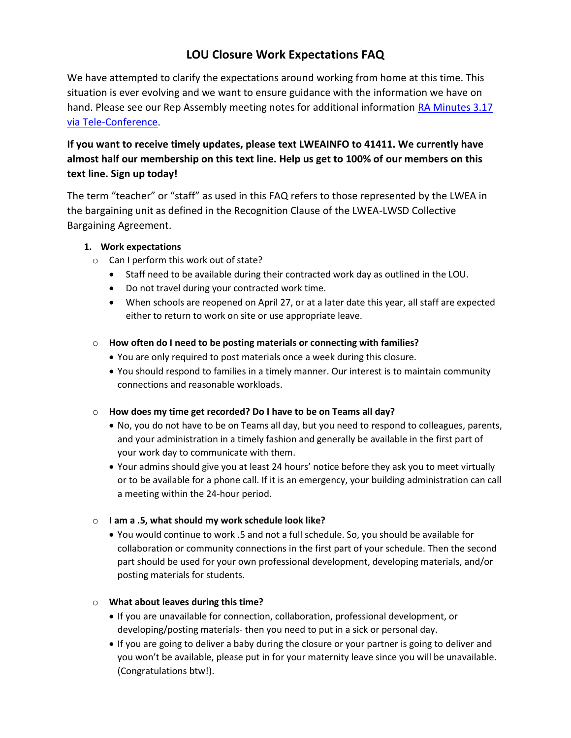# **LOU Closure Work Expectations FAQ**

We have attempted to clarify the expectations around working from home at this time. This situation is ever evolving and we want to ensure guidance with the information we have on hand. Please see our Rep Assembly meeting notes for additional information [RA Minutes 3.17](https://www.lakewashingtonea.org/file_viewer.php?id=29576)  [via Tele-Conference.](https://www.lakewashingtonea.org/file_viewer.php?id=29576)

## **If you want to receive timely updates, please text LWEAINFO to 41411. We currently have almost half our membership on this text line. Help us get to 100% of our members on this text line. Sign up today!**

The term "teacher" or "staff" as used in this FAQ refers to those represented by the LWEA in the bargaining unit as defined in the Recognition Clause of the LWEA-LWSD Collective Bargaining Agreement.

#### **1. Work expectations**

- o Can I perform this work out of state?
	- Staff need to be available during their contracted work day as outlined in the LOU.
	- Do not travel during your contracted work time.
	- When schools are reopened on April 27, or at a later date this year, all staff are expected either to return to work on site or use appropriate leave.

#### o **How often do I need to be posting materials or connecting with families?**

- You are only required to post materials once a week during this closure.
- You should respond to families in a timely manner. Our interest is to maintain community connections and reasonable workloads.
- o **How does my time get recorded? Do I have to be on Teams all day?** 
	- No, you do not have to be on Teams all day, but you need to respond to colleagues, parents, and your administration in a timely fashion and generally be available in the first part of your work day to communicate with them.
	- Your admins should give you at least 24 hours' notice before they ask you to meet virtually or to be available for a phone call. If it is an emergency, your building administration can call a meeting within the 24-hour period.

#### o **I am a .5, what should my work schedule look like?**

 You would continue to work .5 and not a full schedule. So, you should be available for collaboration or community connections in the first part of your schedule. Then the second part should be used for your own professional development, developing materials, and/or posting materials for students.

#### o **What about leaves during this time?**

- If you are unavailable for connection, collaboration, professional development, or developing/posting materials- then you need to put in a sick or personal day.
- If you are going to deliver a baby during the closure or your partner is going to deliver and you won't be available, please put in for your maternity leave since you will be unavailable. (Congratulations btw!).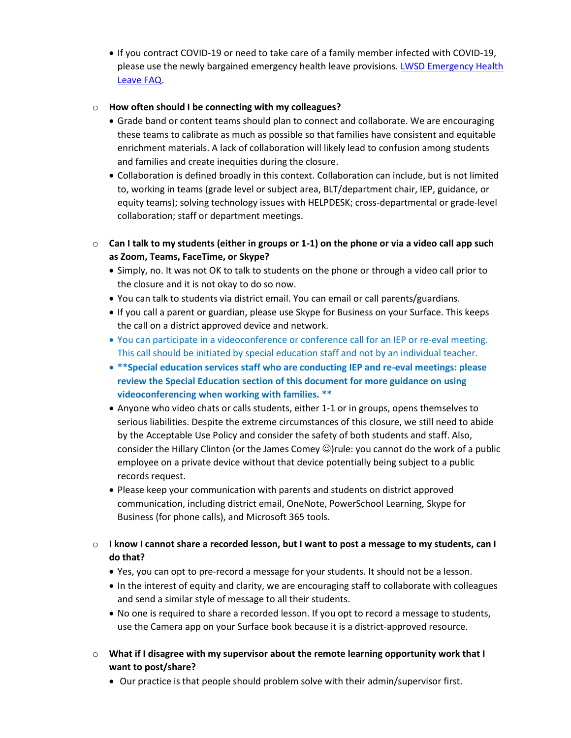If you contract COVID-19 or need to take care of a family member infected with COVID-19, please use the newly bargained emergency health leave provisions. LWSD Emergency Health [Leave FAQ.](https://www.lakewashingtonea.org/file_viewer.php?id=29331)

#### o **How often should I be connecting with my colleagues?**

- Grade band or content teams should plan to connect and collaborate. We are encouraging these teams to calibrate as much as possible so that families have consistent and equitable enrichment materials. A lack of collaboration will likely lead to confusion among students and families and create inequities during the closure.
- Collaboration is defined broadly in this context. Collaboration can include, but is not limited to, working in teams (grade level or subject area, BLT/department chair, IEP, guidance, or equity teams); solving technology issues with HELPDESK; cross-departmental or grade-level collaboration; staff or department meetings.
- o **Can I talk to my students (either in groups or 1-1) on the phone or via a video call app such as Zoom, Teams, FaceTime, or Skype?**
	- Simply, no. It was not OK to talk to students on the phone or through a video call prior to the closure and it is not okay to do so now.
	- You can talk to students via district email. You can email or call parents/guardians.
	- If you call a parent or guardian, please use Skype for Business on your Surface. This keeps the call on a district approved device and network.
	- You can participate in a videoconference or conference call for an IEP or re-eval meeting. This call should be initiated by special education staff and not by an individual teacher.
	- **\*\*Special education services staff who are conducting IEP and re-eval meetings: please review the Special Education section of this document for more guidance on using videoconferencing when working with families. \*\***
	- Anyone who video chats or calls students, either 1-1 or in groups, opens themselves to serious liabilities. Despite the extreme circumstances of this closure, we still need to abide by the Acceptable Use Policy and consider the safety of both students and staff. Also, consider the Hillary Clinton (or the James Comey  $\circledcirc$ )rule: you cannot do the work of a public employee on a private device without that device potentially being subject to a public records request.
	- Please keep your communication with parents and students on district approved communication, including district email, OneNote, PowerSchool Learning, Skype for Business (for phone calls), and Microsoft 365 tools.
- o **I know I cannot share a recorded lesson, but I want to post a message to my students, can I do that?** 
	- Yes, you can opt to pre-record a message for your students. It should not be a lesson.
	- In the interest of equity and clarity, we are encouraging staff to collaborate with colleagues and send a similar style of message to all their students.
	- No one is required to share a recorded lesson. If you opt to record a message to students, use the Camera app on your Surface book because it is a district-approved resource.
- o **What if I disagree with my supervisor about the remote learning opportunity work that I want to post/share?**
	- Our practice is that people should problem solve with their admin/supervisor first.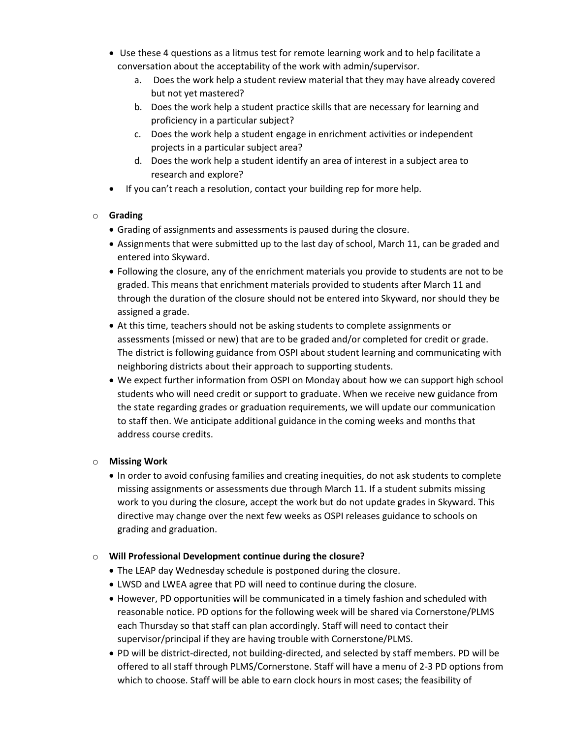- Use these 4 questions as a litmus test for remote learning work and to help facilitate a conversation about the acceptability of the work with admin/supervisor.
	- a. Does the work help a student review material that they may have already covered but not yet mastered?
	- b. Does the work help a student practice skills that are necessary for learning and proficiency in a particular subject?
	- c. Does the work help a student engage in enrichment activities or independent projects in a particular subject area?
	- d. Does the work help a student identify an area of interest in a subject area to research and explore?
- If you can't reach a resolution, contact your building rep for more help.

### o **Grading**

- Grading of assignments and assessments is paused during the closure.
- Assignments that were submitted up to the last day of school, March 11, can be graded and entered into Skyward.
- Following the closure, any of the enrichment materials you provide to students are not to be graded. This means that enrichment materials provided to students after March 11 and through the duration of the closure should not be entered into Skyward, nor should they be assigned a grade.
- At this time, teachers should not be asking students to complete assignments or assessments (missed or new) that are to be graded and/or completed for credit or grade. The district is following guidance from OSPI about student learning and communicating with neighboring districts about their approach to supporting students.
- We expect further information from OSPI on Monday about how we can support high school students who will need credit or support to graduate. When we receive new guidance from the state regarding grades or graduation requirements, we will update our communication to staff then. We anticipate additional guidance in the coming weeks and months that address course credits.

## o **Missing Work**

 In order to avoid confusing families and creating inequities, do not ask students to complete missing assignments or assessments due through March 11. If a student submits missing work to you during the closure, accept the work but do not update grades in Skyward. This directive may change over the next few weeks as OSPI releases guidance to schools on grading and graduation.

## o **Will Professional Development continue during the closure?**

- The LEAP day Wednesday schedule is postponed during the closure.
- LWSD and LWEA agree that PD will need to continue during the closure.
- However, PD opportunities will be communicated in a timely fashion and scheduled with reasonable notice. PD options for the following week will be shared via Cornerstone/PLMS each Thursday so that staff can plan accordingly. Staff will need to contact their supervisor/principal if they are having trouble with Cornerstone/PLMS.
- PD will be district-directed, not building-directed, and selected by staff members. PD will be offered to all staff through PLMS/Cornerstone. Staff will have a menu of 2-3 PD options from which to choose. Staff will be able to earn clock hours in most cases; the feasibility of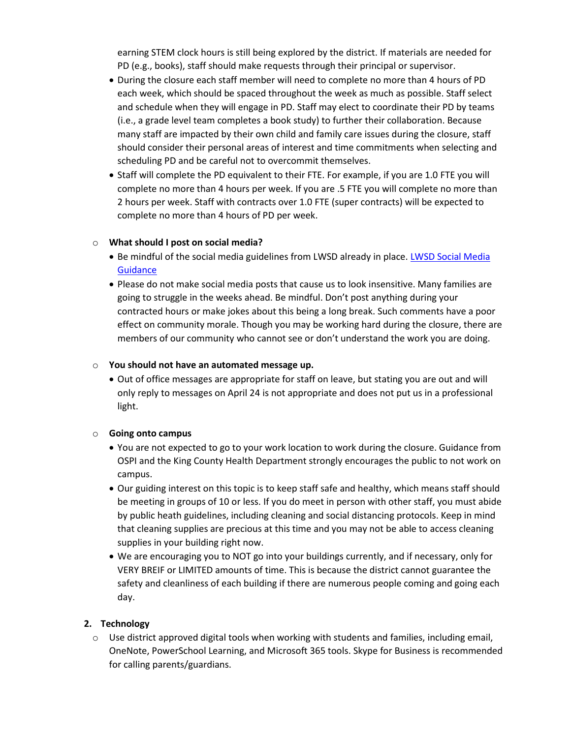earning STEM clock hours is still being explored by the district. If materials are needed for PD (e.g., books), staff should make requests through their principal or supervisor.

- During the closure each staff member will need to complete no more than 4 hours of PD each week, which should be spaced throughout the week as much as possible. Staff select and schedule when they will engage in PD. Staff may elect to coordinate their PD by teams (i.e., a grade level team completes a book study) to further their collaboration. Because many staff are impacted by their own child and family care issues during the closure, staff should consider their personal areas of interest and time commitments when selecting and scheduling PD and be careful not to overcommit themselves.
- Staff will complete the PD equivalent to their FTE. For example, if you are 1.0 FTE you will complete no more than 4 hours per week. If you are .5 FTE you will complete no more than 2 hours per week. Staff with contracts over 1.0 FTE (super contracts) will be expected to complete no more than 4 hours of PD per week.

#### o **What should I post on social media?**

- Be mindful of the social media guidelines from LWSD already in place. LWSD Social Media **[Guidance](https://www.washingtonea.org/file_viewer.php?id=29641)**
- Please do not make social media posts that cause us to look insensitive. Many families are going to struggle in the weeks ahead. Be mindful. Don't post anything during your contracted hours or make jokes about this being a long break. Such comments have a poor effect on community morale. Though you may be working hard during the closure, there are members of our community who cannot see or don't understand the work you are doing.

#### o **You should not have an automated message up.**

 Out of office messages are appropriate for staff on leave, but stating you are out and will only reply to messages on April 24 is not appropriate and does not put us in a professional light.

#### o **Going onto campus**

- You are not expected to go to your work location to work during the closure. Guidance from OSPI and the King County Health Department strongly encourages the public to not work on campus.
- Our guiding interest on this topic is to keep staff safe and healthy, which means staff should be meeting in groups of 10 or less. If you do meet in person with other staff, you must abide by public heath guidelines, including cleaning and social distancing protocols. Keep in mind that cleaning supplies are precious at this time and you may not be able to access cleaning supplies in your building right now.
- We are encouraging you to NOT go into your buildings currently, and if necessary, only for VERY BREIF or LIMITED amounts of time. This is because the district cannot guarantee the safety and cleanliness of each building if there are numerous people coming and going each day.

#### **2. Technology**

 $\circ$  Use district approved digital tools when working with students and families, including email, OneNote, PowerSchool Learning, and Microsoft 365 tools. Skype for Business is recommended for calling parents/guardians.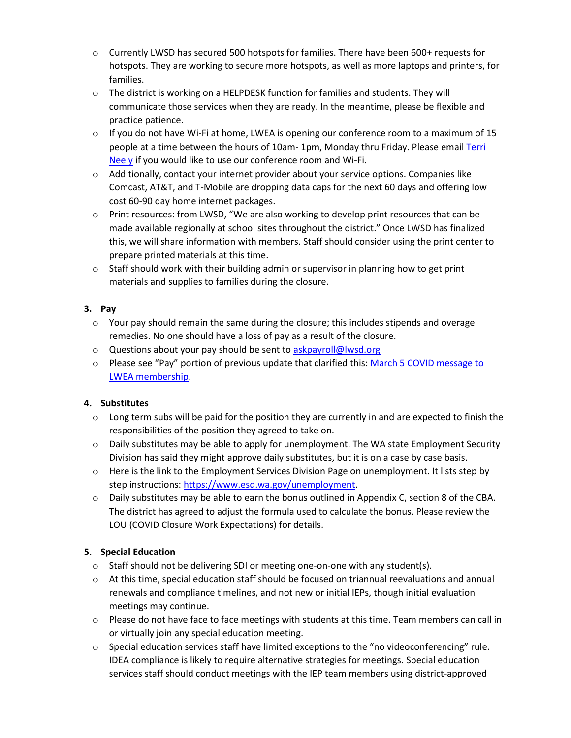- $\circ$  Currently LWSD has secured 500 hotspots for families. There have been 600+ requests for hotspots. They are working to secure more hotspots, as well as more laptops and printers, for families.
- $\circ$  The district is working on a HELPDESK function for families and students. They will communicate those services when they are ready. In the meantime, please be flexible and practice patience.
- o If you do not have Wi-Fi at home, LWEA is opening our conference room to a maximum of 15 people at a time between the hours of 10am- 1pm, Monday thru Friday. Please email [Terri](mailto:terrineely@lwsd.org)  [Neely](mailto:terrineely@lwsd.org) if you would like to use our conference room and Wi-Fi.
- $\circ$  Additionally, contact your internet provider about your service options. Companies like Comcast, AT&T, and T-Mobile are dropping data caps for the next 60 days and offering low cost 60-90 day home internet packages.
- o Print resources: from LWSD, "We are also working to develop print resources that can be made available regionally at school sites throughout the district." Once LWSD has finalized this, we will share information with members. Staff should consider using the print center to prepare printed materials at this time.
- $\circ$  Staff should work with their building admin or supervisor in planning how to get print materials and supplies to families during the closure.

#### **3. Pay**

- $\circ$  Your pay should remain the same during the closure; this includes stipends and overage remedies. No one should have a loss of pay as a result of the closure.
- o Questions about your pay should be sent t[o askpayroll@lwsd.org](mailto:askpayroll@lwsd.org)
- o Please see "Pay" portion of previous update that clarified this: [March 5 COVID message to](https://www.lakewashingtonea.org/file_viewer.php?id=29041)  [LWEA membership.](https://www.lakewashingtonea.org/file_viewer.php?id=29041)

## **4. Substitutes**

- $\circ$  Long term subs will be paid for the position they are currently in and are expected to finish the responsibilities of the position they agreed to take on.
- $\circ$  Daily substitutes may be able to apply for unemployment. The WA state Employment Security Division has said they might approve daily substitutes, but it is on a case by case basis.
- o Here is the link to the Employment Services Division Page on unemployment. It lists step by step instructions: [https://www.esd.wa.gov/unemployment.](https://www.esd.wa.gov/unemployment)
- o Daily substitutes may be able to earn the bonus outlined in Appendix C, section 8 of the CBA. The district has agreed to adjust the formula used to calculate the bonus. Please review the LOU (COVID Closure Work Expectations) for details.

## **5. Special Education**

- $\circ$  Staff should not be delivering SDI or meeting one-on-one with any student(s).
- o At this time, special education staff should be focused on triannual reevaluations and annual renewals and compliance timelines, and not new or initial IEPs, though initial evaluation meetings may continue.
- o Please do not have face to face meetings with students at this time. Team members can call in or virtually join any special education meeting.
- o Special education services staff have limited exceptions to the "no videoconferencing" rule. IDEA compliance is likely to require alternative strategies for meetings. Special education services staff should conduct meetings with the IEP team members using district-approved